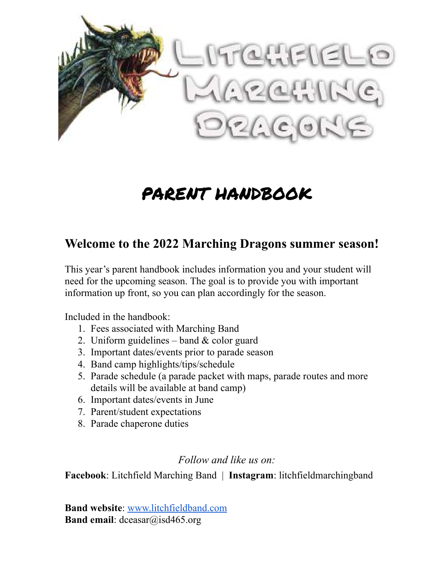

## PARENT HANDBOOK

### **Welcome to the 2022 Marching Dragons summer season!**

This year's parent handbook includes information you and your student will need for the upcoming season. The goal is to provide you with important information up front, so you can plan accordingly for the season.

Included in the handbook:

- 1. Fees associated with Marching Band
- 2. Uniform guidelines band  $&$  color guard
- 3. Important dates/events prior to parade season
- 4. Band camp highlights/tips/schedule
- 5. Parade schedule (a parade packet with maps, parade routes and more details will be available at band camp)
- 6. Important dates/events in June
- 7. Parent/student expectations
- 8. Parade chaperone duties

### *Follow and like us on:*

**Facebook**: Litchfield Marching Band | **Instagram**: litchfieldmarchingband

**Band website**: [www.litchfieldband.com](http://www.litchfieldband.com/) **Band email**: dceasar@isd465.org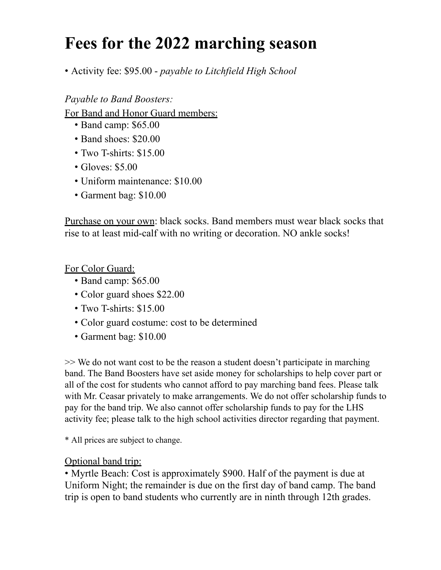### **Fees for the 2022 marching season**

• Activity fee: \$95.00 - *payable to Litchfield High School*

*Payable to Band Boosters:*

For Band and Honor Guard members:

- Band camp: \$65.00
- Band shoes: \$20.00
- Two T-shirts: \$15.00
- Gloves: \$5.00
- Uniform maintenance: \$10.00
- Garment bag: \$10.00

Purchase on your own: black socks. Band members must wear black socks that rise to at least mid-calf with no writing or decoration. NO ankle socks!

For Color Guard:

- Band camp: \$65.00
- Color guard shoes \$22.00
- Two T-shirts: \$15.00
- Color guard costume: cost to be determined
- Garment bag: \$10.00

>> We do not want cost to be the reason a student doesn't participate in marching band. The Band Boosters have set aside money for scholarships to help cover part or all of the cost for students who cannot afford to pay marching band fees. Please talk with Mr. Ceasar privately to make arrangements. We do not offer scholarship funds to pay for the band trip. We also cannot offer scholarship funds to pay for the LHS activity fee; please talk to the high school activities director regarding that payment.

\* All prices are subject to change.

### Optional band trip:

• Myrtle Beach: Cost is approximately \$900. Half of the payment is due at Uniform Night; the remainder is due on the first day of band camp. The band trip is open to band students who currently are in ninth through 12th grades.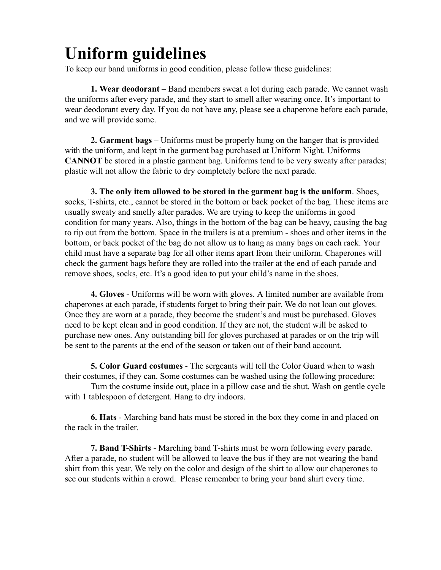# **Uniform guidelines**

To keep our band uniforms in good condition, please follow these guidelines:

**1. Wear deodorant** – Band members sweat a lot during each parade. We cannot wash the uniforms after every parade, and they start to smell after wearing once. It's important to wear deodorant every day. If you do not have any, please see a chaperone before each parade, and we will provide some.

**2. Garment bags** – Uniforms must be properly hung on the hanger that is provided with the uniform, and kept in the garment bag purchased at Uniform Night. Uniforms **CANNOT** be stored in a plastic garment bag. Uniforms tend to be very sweaty after parades; plastic will not allow the fabric to dry completely before the next parade.

**3. The only item allowed to be stored in the garment bag is the uniform**. Shoes, socks, T-shirts, etc., cannot be stored in the bottom or back pocket of the bag. These items are usually sweaty and smelly after parades. We are trying to keep the uniforms in good condition for many years. Also, things in the bottom of the bag can be heavy, causing the bag to rip out from the bottom. Space in the trailers is at a premium - shoes and other items in the bottom, or back pocket of the bag do not allow us to hang as many bags on each rack. Your child must have a separate bag for all other items apart from their uniform. Chaperones will check the garment bags before they are rolled into the trailer at the end of each parade and remove shoes, socks, etc. It's a good idea to put your child's name in the shoes.

**4. Gloves** - Uniforms will be worn with gloves. A limited number are available from chaperones at each parade, if students forget to bring their pair. We do not loan out gloves. Once they are worn at a parade, they become the student's and must be purchased. Gloves need to be kept clean and in good condition. If they are not, the student will be asked to purchase new ones. Any outstanding bill for gloves purchased at parades or on the trip will be sent to the parents at the end of the season or taken out of their band account.

**5. Color Guard costumes** - The sergeants will tell the Color Guard when to wash their costumes, if they can. Some costumes can be washed using the following procedure:

Turn the costume inside out, place in a pillow case and tie shut. Wash on gentle cycle with 1 tablespoon of detergent. Hang to dry indoors.

**6. Hats** - Marching band hats must be stored in the box they come in and placed on the rack in the trailer.

**7. Band T-Shirts** - Marching band T-shirts must be worn following every parade. After a parade, no student will be allowed to leave the bus if they are not wearing the band shirt from this year. We rely on the color and design of the shirt to allow our chaperones to see our students within a crowd. Please remember to bring your band shirt every time.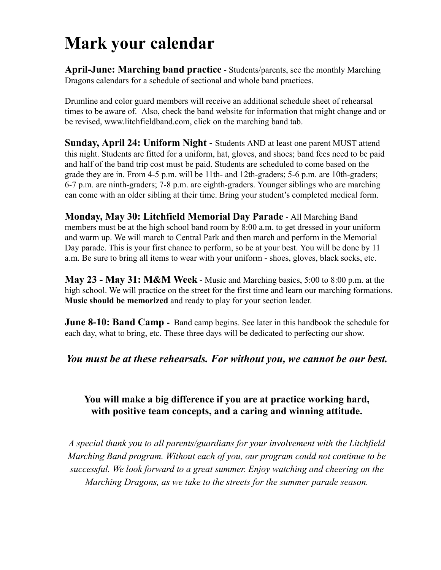## **Mark your calendar**

**April-June: Marching band practice** - Students/parents, see the monthly Marching Dragons calendars for a schedule of sectional and whole band practices.

Drumline and color guard members will receive an additional schedule sheet of rehearsal times to be aware of. Also, check the band website for information that might change and or be revised, www.litchfieldband.com, click on the marching band tab.

**Sunday, April 24: Uniform Night** - Students AND at least one parent MUST attend this night. Students are fitted for a uniform, hat, gloves, and shoes; band fees need to be paid and half of the band trip cost must be paid. Students are scheduled to come based on the grade they are in. From 4-5 p.m. will be 11th- and 12th-graders; 5-6 p.m. are 10th-graders; 6-7 p.m. are ninth-graders; 7-8 p.m. are eighth-graders. Younger siblings who are marching can come with an older sibling at their time. Bring your student's completed medical form.

**Monday, May 30: Litchfield Memorial Day Parade** - All Marching Band members must be at the high school band room by 8:00 a.m. to get dressed in your uniform and warm up. We will march to Central Park and then march and perform in the Memorial Day parade. This is your first chance to perform, so be at your best. You will be done by 11 a.m. Be sure to bring all items to wear with your uniform - shoes, gloves, black socks, etc.

**May 23 - May 31: M&M Week -** Music and Marching basics, 5:00 to 8:00 p.m. at the high school. We will practice on the street for the first time and learn our marching formations. **Music should be memorized** and ready to play for your section leader.

**June 8-10: Band Camp** - Band camp begins. See later in this handbook the schedule for each day, what to bring, etc. These three days will be dedicated to perfecting our show.

### *You must be at these rehearsals. For without you, we cannot be our best.*

### **You will make a big difference if you are at practice working hard, with positive team concepts, and a caring and winning attitude.**

*A special thank you to all parents/guardians for your involvement with the Litchfield Marching Band program. Without each of you, our program could not continue to be successful. We look forward to a great summer. Enjoy watching and cheering on the Marching Dragons, as we take to the streets for the summer parade season.*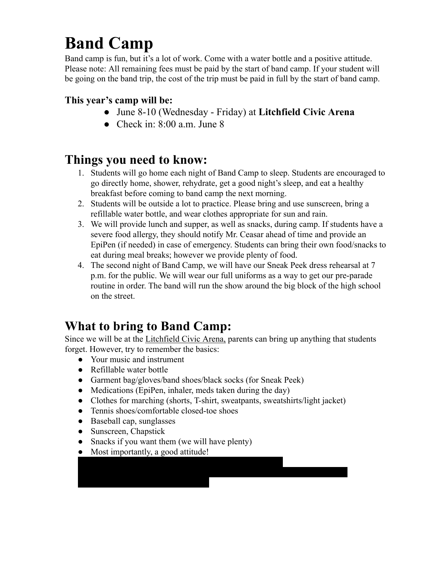# **Band Camp**

Band camp is fun, but it's a lot of work. Come with a water bottle and a positive attitude. Please note: All remaining fees must be paid by the start of band camp. If your student will be going on the band trip, the cost of the trip must be paid in full by the start of band camp.

### **This year's camp will be:**

- June 8-10 (Wednesday Friday) at **Litchfield Civic Arena**
- Check in:  $8:00$  a.m. June  $8$

### **Things you need to know:**

- 1. Students will go home each night of Band Camp to sleep. Students are encouraged to go directly home, shower, rehydrate, get a good night's sleep, and eat a healthy breakfast before coming to band camp the next morning.
- 2. Students will be outside a lot to practice. Please bring and use sunscreen, bring a refillable water bottle, and wear clothes appropriate for sun and rain.
- 3. We will provide lunch and supper, as well as snacks, during camp. If students have a severe food allergy, they should notify Mr. Ceasar ahead of time and provide an EpiPen (if needed) in case of emergency. Students can bring their own food/snacks to eat during meal breaks; however we provide plenty of food.
- 4. The second night of Band Camp, we will have our Sneak Peek dress rehearsal at 7 p.m. for the public. We will wear our full uniforms as a way to get our pre-parade routine in order. The band will run the show around the big block of the high school on the street.

### **What to bring to Band Camp:**

Since we will be at the Litchfield Civic Arena, parents can bring up anything that students forget. However, try to remember the basics:

- Your music and instrument
- Refillable water bottle
- Garment bag/gloves/band shoes/black socks (for Sneak Peek)
- Medications (EpiPen, inhaler, meds taken during the day)

● Toiletries, soap, shampoo/conditioner, towel, deodorant

• Clothes for marching (shorts, T-shirt, sweatpants, sweatshirts/light jacket)

● Night-time clothes/pajamas, pillow, sleeping bag, blow-up bed or mattress

- Tennis shoes/comfortable closed-toe shoes
- Baseball cap, sunglasses
- Sunscreen, Chapstick
- Snacks if you want them (we will have plenty)
- Most importantly, a good attitude!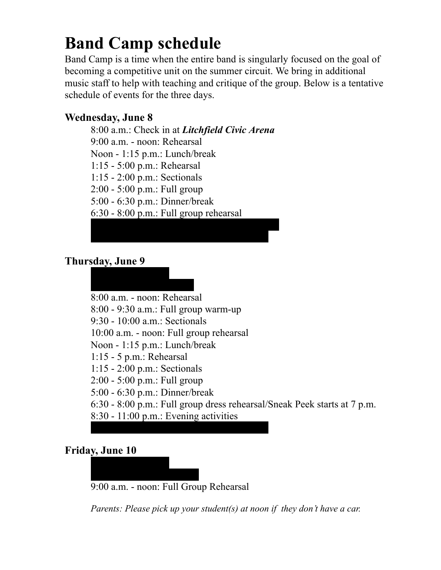## **Band Camp schedule**

Band Camp is a time when the entire band is singularly focused on the goal of becoming a competitive unit on the summer circuit. We bring in additional music staff to help with teaching and critique of the group. Below is a tentative schedule of events for the three days.

### **Wednesday, June 8**

8:00 a.m.: Check in at *Litchfield Civic Arena* 9:00 a.m. - noon: Rehearsal Noon - 1:15 p.m.: Lunch/break 1:15 - 5:00 p.m.: Rehearsal 1:15 - 2:00 p.m.: Sectionals 2:00 - 5:00 p.m.: Full group 5:00 - 6:30 p.m.: Dinner/break 6:30 - 8:00 p.m.: Full group rehearsal 8:30 - 10:00 p.m.: Evening Activity/Free Time

11:15 p.m.: Lights Out (overnight in rooms)

### **Thursday, June 9**

7:00 a.m.: Wake up

7:30-8:30 a.m.: Breakfast 8:00 a.m. - noon: Rehearsal 8:00 - 9:30 a.m.: Full group warm-up 9:30 - 10:00 a.m.: Sectionals 10:00 a.m. - noon: Full group rehearsal Noon - 1:15 p.m.: Lunch/break 1:15 - 5 p.m.: Rehearsal 1:15 - 2:00 p.m.: Sectionals 2:00 - 5:00 p.m.: Full group 5:00 - 6:30 p.m.: Dinner/break 6:30 - 8:00 p.m.: Full group dress rehearsal/Sneak Peek starts at 7 p.m. 8:30 - 11:00 p.m.: Evening activities 11:15 p.m.: Lights Out (overnight in rooms)

### **Friday, June 10**

8:00 a.m.: Wake up

8:00 - 9:00 a.m.: Breakfast 9:00 a.m. - noon: Full Group Rehearsal

*Parents: Please pick up your student(s) at noon if they don't have a car.*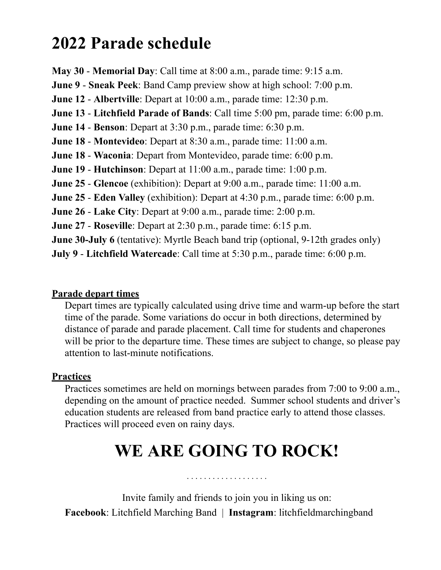### **2022 Parade schedule**

**May 30** - **Memorial Day**: Call time at 8:00 a.m., parade time: 9:15 a.m.

**June 9** - **Sneak Peek**: Band Camp preview show at high school: 7:00 p.m.

**June 12** - **Albertville**: Depart at 10:00 a.m., parade time: 12:30 p.m.

**June 13** - **Litchfield Parade of Bands**: Call time 5:00 pm, parade time: 6:00 p.m.

**June 14** - **Benson**: Depart at 3:30 p.m., parade time: 6:30 p.m.

**June 18** - **Montevideo**: Depart at 8:30 a.m., parade time: 11:00 a.m.

**June 18** - **Waconia**: Depart from Montevideo, parade time: 6:00 p.m.

**June 19** - **Hutchinson**: Depart at 11:00 a.m., parade time: 1:00 p.m.

**June 25** - **Glencoe** (exhibition): Depart at 9:00 a.m., parade time: 11:00 a.m.

**June 25** - **Eden Valley** (exhibition): Depart at 4:30 p.m., parade time: 6:00 p.m.

**June 26** - **Lake City**: Depart at 9:00 a.m., parade time: 2:00 p.m.

**June 27** - **Roseville**: Depart at 2:30 p.m., parade time: 6:15 p.m.

**June 30-July 6** (tentative): Myrtle Beach band trip (optional, 9-12th grades only)

**July 9** - **Litchfield Watercade**: Call time at 5:30 p.m., parade time: 6:00 p.m.

### **Parade depart times**

Depart times are typically calculated using drive time and warm-up before the start time of the parade. Some variations do occur in both directions, determined by distance of parade and parade placement. Call time for students and chaperones will be prior to the departure time. These times are subject to change, so please pay attention to last-minute notifications.

### **Practices**

Practices sometimes are held on mornings between parades from 7:00 to 9:00 a.m., depending on the amount of practice needed. Summer school students and driver's education students are released from band practice early to attend those classes. Practices will proceed even on rainy days.

# **WE ARE GOING TO ROCK!**

. . . . . . . . . . . . . . . . . . .

Invite family and friends to join you in liking us on: **Facebook**: Litchfield Marching Band | **Instagram**: litchfieldmarchingband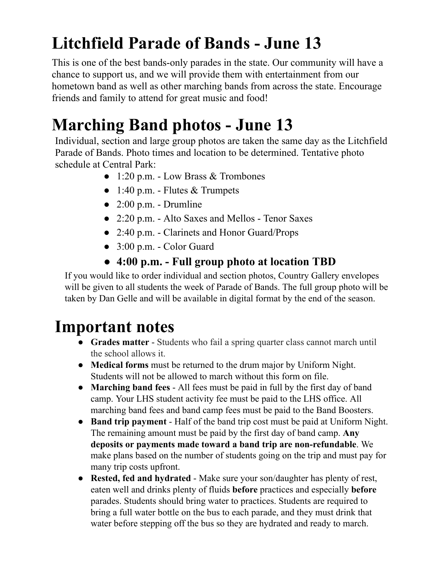# **Litchfield Parade of Bands - June 13**

This is one of the best bands-only parades in the state. Our community will have a chance to support us, and we will provide them with entertainment from our hometown band as well as other marching bands from across the state. Encourage friends and family to attend for great music and food!

# **Marching Band photos - June 13**

Individual, section and large group photos are taken the same day as the Litchfield Parade of Bands. Photo times and location to be determined. Tentative photo schedule at Central Park:

- $\bullet$  1:20 p.m. Low Brass & Trombones
- $\bullet$  1:40 p.m. Flutes & Trumpets
- $\bullet$  2:00 p.m. Drumline
- 2:20 p.m. Alto Saxes and Mellos Tenor Saxes
- 2:40 p.m. Clarinets and Honor Guard/Props
- 3:00 p.m. Color Guard
- **● 4:00 p.m. - Full group photo at location TBD**

If you would like to order individual and section photos, Country Gallery envelopes will be given to all students the week of Parade of Bands. The full group photo will be taken by Dan Gelle and will be available in digital format by the end of the season.

## **Important notes**

- **Grades matter** Students who fail a spring quarter class cannot march until the school allows it.
- **Medical forms** must be returned to the drum major by Uniform Night. Students will not be allowed to march without this form on file.
- **Marching band fees** All fees must be paid in full by the first day of band camp. Your LHS student activity fee must be paid to the LHS office. All marching band fees and band camp fees must be paid to the Band Boosters.
- **Band trip payment** Half of the band trip cost must be paid at Uniform Night. The remaining amount must be paid by the first day of band camp. **Any deposits or payments made toward a band trip are non-refundable**. We make plans based on the number of students going on the trip and must pay for many trip costs upfront.
- **Rested, fed and hydrated** Make sure your son/daughter has plenty of rest, eaten well and drinks plenty of fluids **before** practices and especially **before** parades. Students should bring water to practices. Students are required to bring a full water bottle on the bus to each parade, and they must drink that water before stepping off the bus so they are hydrated and ready to march.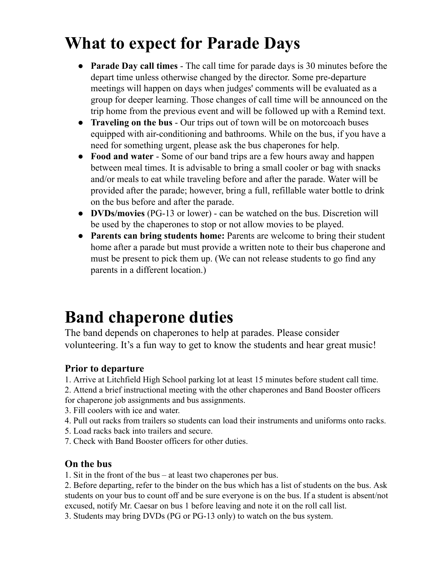## **What to expect for Parade Days**

- **Parade Day call times** The call time for parade days is 30 minutes before the depart time unless otherwise changed by the director. Some pre-departure meetings will happen on days when judges' comments will be evaluated as a group for deeper learning. Those changes of call time will be announced on the trip home from the previous event and will be followed up with a Remind text.
- **Traveling on the bus** Our trips out of town will be on motorcoach buses equipped with air-conditioning and bathrooms. While on the bus, if you have a need for something urgent, please ask the bus chaperones for help.
- **Food and water** Some of our band trips are a few hours away and happen between meal times. It is advisable to bring a small cooler or bag with snacks and/or meals to eat while traveling before and after the parade. Water will be provided after the parade; however, bring a full, refillable water bottle to drink on the bus before and after the parade.
- **DVDs/movies** (PG-13 or lower) can be watched on the bus. Discretion will be used by the chaperones to stop or not allow movies to be played.
- **● Parents can bring students home:** Parents are welcome to bring their student home after a parade but must provide a written note to their bus chaperone and must be present to pick them up. (We can not release students to go find any parents in a different location.)

# **Band chaperone duties**

The band depends on chaperones to help at parades. Please consider volunteering. It's a fun way to get to know the students and hear great music!

### **Prior to departure**

1. Arrive at Litchfield High School parking lot at least 15 minutes before student call time.

2. Attend a brief instructional meeting with the other chaperones and Band Booster officers for chaperone job assignments and bus assignments.

- 3. Fill coolers with ice and water.
- 4. Pull out racks from trailers so students can load their instruments and uniforms onto racks.
- 5. Load racks back into trailers and secure.
- 7. Check with Band Booster officers for other duties.

### **On the bus**

1. Sit in the front of the bus – at least two chaperones per bus.

2. Before departing, refer to the binder on the bus which has a list of students on the bus. Ask students on your bus to count off and be sure everyone is on the bus. If a student is absent/not excused, notify Mr. Caesar on bus 1 before leaving and note it on the roll call list.

3. Students may bring DVDs (PG or PG-13 only) to watch on the bus system.